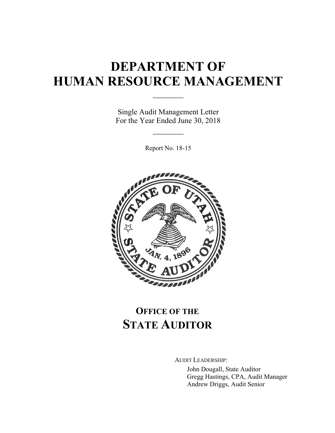# **DEPARTMENT OF HUMAN RESOURCE MANAGEMENT**

 $\frac{1}{2}$ 

Single Audit Management Letter For the Year Ended June 30, 2018

 $\mathcal{L}_\text{max}$ 

Report No. 18-15



# **OFFICE OF THE STATE AUDITOR**

AUDIT LEADERSHIP:

John Dougall, State Auditor Gregg Hastings, CPA, Audit Manager Andrew Driggs, Audit Senior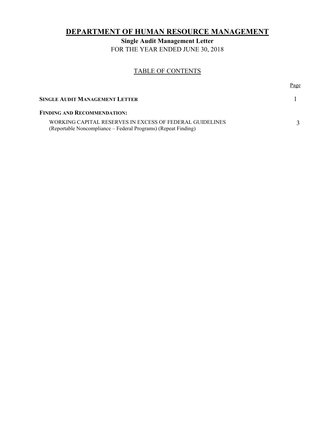# **DEPARTMENT OF HUMAN RESOURCE MANAGEMENT**

**Single Audit Management Letter**  FOR THE YEAR ENDED JUNE 30, 2018

# TABLE OF CONTENTS

|                                                                                                                            | Page |
|----------------------------------------------------------------------------------------------------------------------------|------|
| SINGLE AUDIT MANAGEMENT LETTER                                                                                             |      |
| <b>FINDING AND RECOMMENDATION:</b>                                                                                         |      |
| WORKING CAPITAL RESERVES IN EXCESS OF FEDERAL GUIDELINES<br>(Reportable Noncompliance – Federal Programs) (Repeat Finding) |      |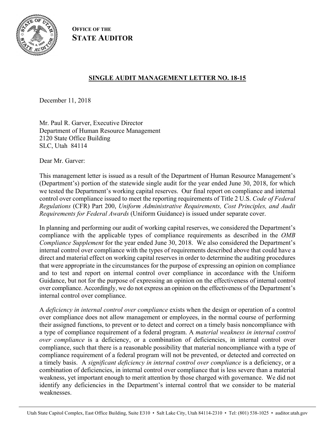

**OFFICE OF THE STATE AUDITOR**

# **SINGLE AUDIT MANAGEMENT LETTER NO. 18-15**

December 11, 2018

Mr. Paul R. Garver, Executive Director Department of Human Resource Management 2120 State Office Building SLC, Utah 84114

Dear Mr. Garver:

This management letter is issued as a result of the Department of Human Resource Management's (Department's) portion of the statewide single audit for the year ended June 30, 2018, for which we tested the Department's working capital reserves. Our final report on compliance and internal control over compliance issued to meet the reporting requirements of Title 2 U.S. *Code of Federal Regulations* (CFR) Part 200, *Uniform Administrative Requirements, Cost Principles, and Audit Requirements for Federal Awards* (Uniform Guidance) is issued under separate cover.

In planning and performing our audit of working capital reserves, we considered the Department's compliance with the applicable types of compliance requirements as described in the *OMB Compliance Supplement* for the year ended June 30, 2018. We also considered the Department's internal control over compliance with the types of requirements described above that could have a direct and material effect on working capital reserves in order to determine the auditing procedures that were appropriate in the circumstances for the purpose of expressing an opinion on compliance and to test and report on internal control over compliance in accordance with the Uniform Guidance, but not for the purpose of expressing an opinion on the effectiveness of internal control over compliance. Accordingly, we do not express an opinion on the effectiveness of the Department's internal control over compliance.

A *deficiency in internal control over compliance* exists when the design or operation of a control over compliance does not allow management or employees, in the normal course of performing their assigned functions, to prevent or to detect and correct on a timely basis noncompliance with a type of compliance requirement of a federal program. A *material weakness in internal control over compliance* is a deficiency, or a combination of deficiencies, in internal control over compliance, such that there is a reasonable possibility that material noncompliance with a type of compliance requirement of a federal program will not be prevented, or detected and corrected on a timely basis. A *significant deficiency in internal control over compliance* is a deficiency, or a combination of deficiencies, in internal control over compliance that is less severe than a material weakness, yet important enough to merit attention by those charged with governance. We did not identify any deficiencies in the Department's internal control that we consider to be material weaknesses.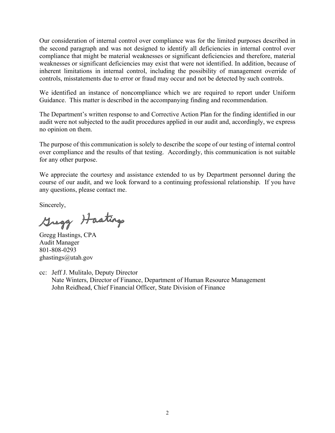Our consideration of internal control over compliance was for the limited purposes described in the second paragraph and was not designed to identify all deficiencies in internal control over compliance that might be material weaknesses or significant deficiencies and therefore, material weaknesses or significant deficiencies may exist that were not identified. In addition, because of inherent limitations in internal control, including the possibility of management override of controls, misstatements due to error or fraud may occur and not be detected by such controls.

We identified an instance of noncompliance which we are required to report under Uniform Guidance. This matter is described in the accompanying finding and recommendation.

The Department's written response to and Corrective Action Plan for the finding identified in our audit were not subjected to the audit procedures applied in our audit and, accordingly, we express no opinion on them.

The purpose of this communication is solely to describe the scope of our testing of internal control over compliance and the results of that testing. Accordingly, this communication is not suitable for any other purpose.

We appreciate the courtesy and assistance extended to us by Department personnel during the course of our audit, and we look forward to a continuing professional relationship. If you have any questions, please contact me.

Sincerely,

Gregg Hastings

Gregg Hastings, CPA Audit Manager 801-808-0293 ghastings@utah.gov

cc: Jeff J. Mulitalo, Deputy Director Nate Winters, Director of Finance, Department of Human Resource Management John Reidhead, Chief Financial Officer, State Division of Finance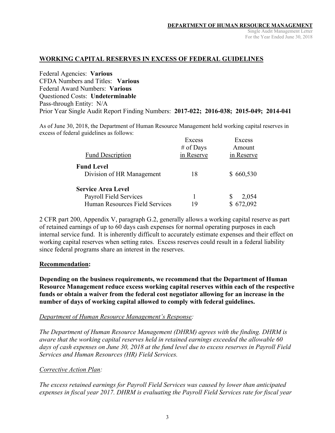# **WORKING CAPITAL RESERVES IN EXCESS OF FEDERAL GUIDELINES**

Federal Agencies: **Various**  CFDA Numbers and Titles: **Various**  Federal Award Numbers: **Various**  Questioned Costs: **Undeterminable** Pass-through Entity: N/A Prior Year Single Audit Report Finding Numbers: **2017-022; 2016-038; 2015-049; 2014-041** 

As of June 30, 2018, the Department of Human Resource Management held working capital reserves in excess of federal guidelines as follows:

|                                | Excess     | Excess     |
|--------------------------------|------------|------------|
|                                | # of Days  | Amount     |
| <b>Fund Description</b>        | in Reserve | in Reserve |
| <b>Fund Level</b>              |            |            |
| Division of HR Management      | 18         | \$660,530  |
| <b>Service Area Level</b>      |            |            |
| Payroll Field Services         |            | 2,054      |
| Human Resources Field Services | 19         | 672,092    |

2 CFR part 200, Appendix V, paragraph G.2, generally allows a working capital reserve as part of retained earnings of up to 60 days cash expenses for normal operating purposes in each internal service fund. It is inherently difficult to accurately estimate expenses and their effect on working capital reserves when setting rates. Excess reserves could result in a federal liability since federal programs share an interest in the reserves.

### **Recommendation:**

**Depending on the business requirements, we recommend that the Department of Human Resource Management reduce excess working capital reserves within each of the respective funds or obtain a waiver from the federal cost negotiator allowing for an increase in the number of days of working capital allowed to comply with federal guidelines.** 

### *Department of Human Resource Management's Response:*

*The Department of Human Resource Management (DHRM) agrees with the finding. DHRM is aware that the working capital reserves held in retained earnings exceeded the allowable 60 days of cash expenses on June 30, 2018 at the fund level due to excess reserves in Payroll Field Services and Human Resources (HR) Field Services.* 

### *Corrective Action Plan:*

*The excess retained earnings for Payroll Field Services was caused by lower than anticipated expenses in fiscal year 2017. DHRM is evaluating the Payroll Field Services rate for fiscal year*